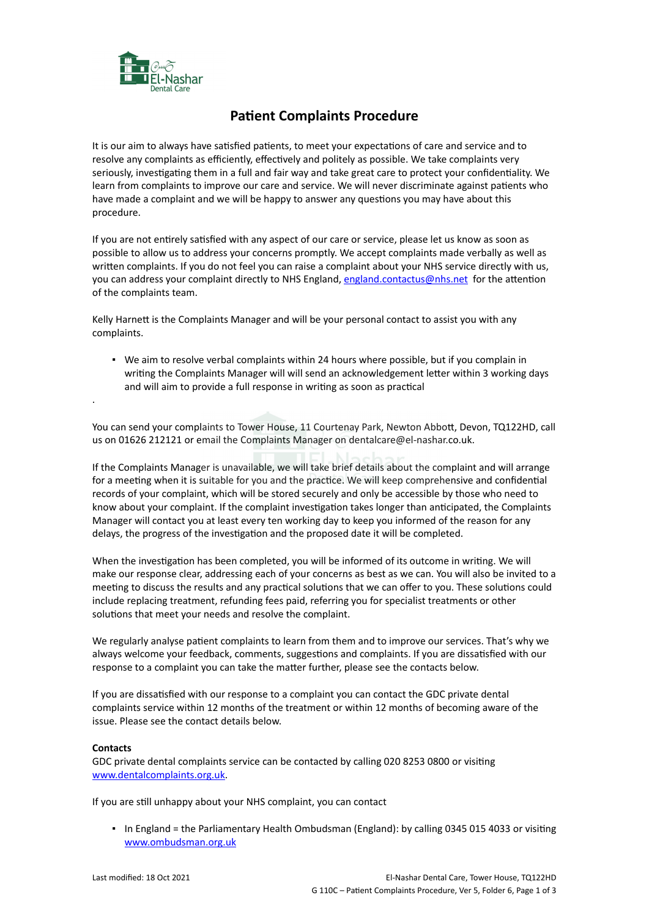

## **Patient Complaints Procedure**

It is our aim to always have satisfied patients, to meet your expectations of care and service and to resolve any complaints as efficiently, effectively and politely as possible. We take complaints very seriously, investigating them in a full and fair way and take great care to protect your confidentiality. We learn from complaints to improve our care and service. We will never discriminate against patients who have made a complaint and we will be happy to answer any questions you may have about this procedure.

If you are not entirely satisfied with any aspect of our care or service, please let us know as soon as possible to allow us to address your concerns promptly. We accept complaints made verbally as well as written complaints. If you do not feel you can raise a complaint about your NHS service directly with us, you can address your complaint directly to NHS England, [england.contactus@nhs.net](mailto:england.contactus@nhs.net) for the attention of the complaints team.

Kelly Harnett is the Complaints Manager and will be your personal contact to assist you with any complaints.

▪ We aim to resolve verbal complaints within 24 hours where possible, but if you complain in writing the Complaints Manager will will send an acknowledgement letter within 3 working days and will aim to provide a full response in writing as soon as practical

You can send your complaints to Tower House, 11 Courtenay Park, Newton Abbott, Devon, TQ122HD, call us on 01626 212121 or email the Complaints Manager on dentalcare@el-nashar.co.uk.

If the Complaints Manager is unavailable, we will take brief details about the complaint and will arrange for a meeting when it is suitable for you and the practice. We will keep comprehensive and confidential records of your complaint, which will be stored securely and only be accessible by those who need to know about your complaint. If the complaint investigation takes longer than anticipated, the Complaints Manager will contact you at least every ten working day to keep you informed of the reason for any delays, the progress of the investigation and the proposed date it will be completed.

When the investigation has been completed, you will be informed of its outcome in writing. We will make our response clear, addressing each of your concerns as best as we can. You will also be invited to a meeting to discuss the results and any practical solutions that we can offer to you. These solutions could include replacing treatment, refunding fees paid, referring you for specialist treatments or other solutions that meet your needs and resolve the complaint.

We regularly analyse patient complaints to learn from them and to improve our services. That's why we always welcome your feedback, comments, suggestions and complaints. If you are dissatisfied with our response to a complaint you can take the matter further, please see the contacts below.

If you are dissatisfied with our response to a complaint you can contact the GDC private dental complaints service within 12 months of the treatment or within 12 months of becoming aware of the issue. Please see the contact details below.

## **Contacts**

.

GDC private dental complaints service can be contacted by calling 020 8253 0800 or visiting [www.dentalcomplaints.org.uk.](http://www.dentalcomplaints.org.uk/)

If you are still unhappy about your NHS complaint, you can contact

▪ In England = the Parliamentary Health Ombudsman (England): by calling 0345 015 4033 or visiting [www.ombudsman.org.uk](http://www.ombudsman.org.uk/)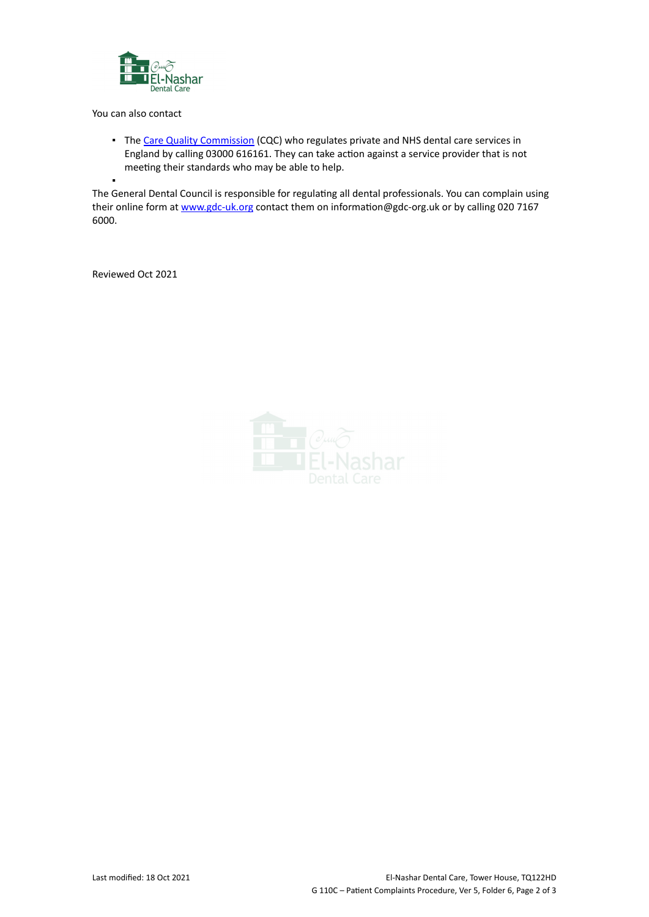

You can also contact

**·** The [Care Quality Commission](http://www.cqc.org.uk/) (CQC) who regulates private and NHS dental care services in England by calling 03000 616161. They can take action against a service provider that is not meeting their standards who may be able to help.

▪ The General Dental Council is responsible for regulating all dental professionals. You can complain using their online form at [www.gdc-uk.org](http://contactus.gdc-uk.org/Enquiry/SelectType) contact them on information@gdc-org.uk or by calling 020 7167 6000.

Reviewed Oct 2021